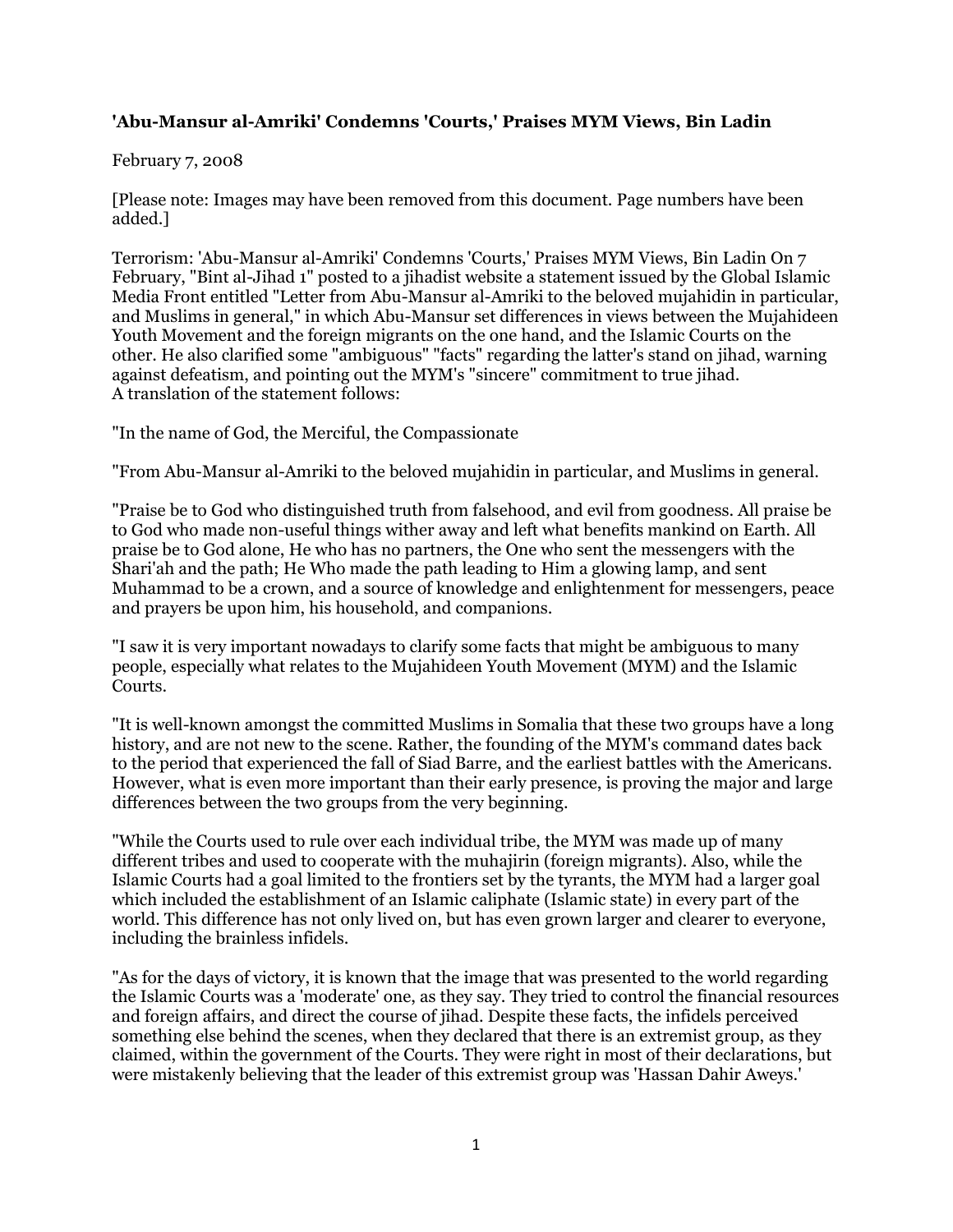## **'Abu-Mansur al-Amriki' Condemns 'Courts,' Praises MYM Views, Bin Ladin**

## February 7, 2008

[Please note: Images may have been removed from this document. Page numbers have been added.]

Terrorism: 'Abu-Mansur al-Amriki' Condemns 'Courts,' Praises MYM Views, Bin Ladin On 7 February, "Bint al-Jihad 1" posted to a jihadist website a statement issued by the Global Islamic Media Front entitled "Letter from Abu-Mansur al-Amriki to the beloved mujahidin in particular, and Muslims in general," in which Abu-Mansur set differences in views between the Mujahideen Youth Movement and the foreign migrants on the one hand, and the Islamic Courts on the other. He also clarified some "ambiguous" "facts" regarding the latter's stand on jihad, warning against defeatism, and pointing out the MYM's "sincere" commitment to true jihad. A translation of the statement follows:

"In the name of God, the Merciful, the Compassionate

"From Abu-Mansur al-Amriki to the beloved mujahidin in particular, and Muslims in general.

"Praise be to God who distinguished truth from falsehood, and evil from goodness. All praise be to God who made non-useful things wither away and left what benefits mankind on Earth. All praise be to God alone, He who has no partners, the One who sent the messengers with the Shari'ah and the path; He Who made the path leading to Him a glowing lamp, and sent Muhammad to be a crown, and a source of knowledge and enlightenment for messengers, peace and prayers be upon him, his household, and companions.

"I saw it is very important nowadays to clarify some facts that might be ambiguous to many people, especially what relates to the Mujahideen Youth Movement (MYM) and the Islamic Courts.

"It is well-known amongst the committed Muslims in Somalia that these two groups have a long history, and are not new to the scene. Rather, the founding of the MYM's command dates back to the period that experienced the fall of Siad Barre, and the earliest battles with the Americans. However, what is even more important than their early presence, is proving the major and large differences between the two groups from the very beginning.

"While the Courts used to rule over each individual tribe, the MYM was made up of many different tribes and used to cooperate with the muhajirin (foreign migrants). Also, while the Islamic Courts had a goal limited to the frontiers set by the tyrants, the MYM had a larger goal which included the establishment of an Islamic caliphate (Islamic state) in every part of the world. This difference has not only lived on, but has even grown larger and clearer to everyone, including the brainless infidels.

"As for the days of victory, it is known that the image that was presented to the world regarding the Islamic Courts was a 'moderate' one, as they say. They tried to control the financial resources and foreign affairs, and direct the course of jihad. Despite these facts, the infidels perceived something else behind the scenes, when they declared that there is an extremist group, as they claimed, within the government of the Courts. They were right in most of their declarations, but were mistakenly believing that the leader of this extremist group was 'Hassan Dahir Aweys.'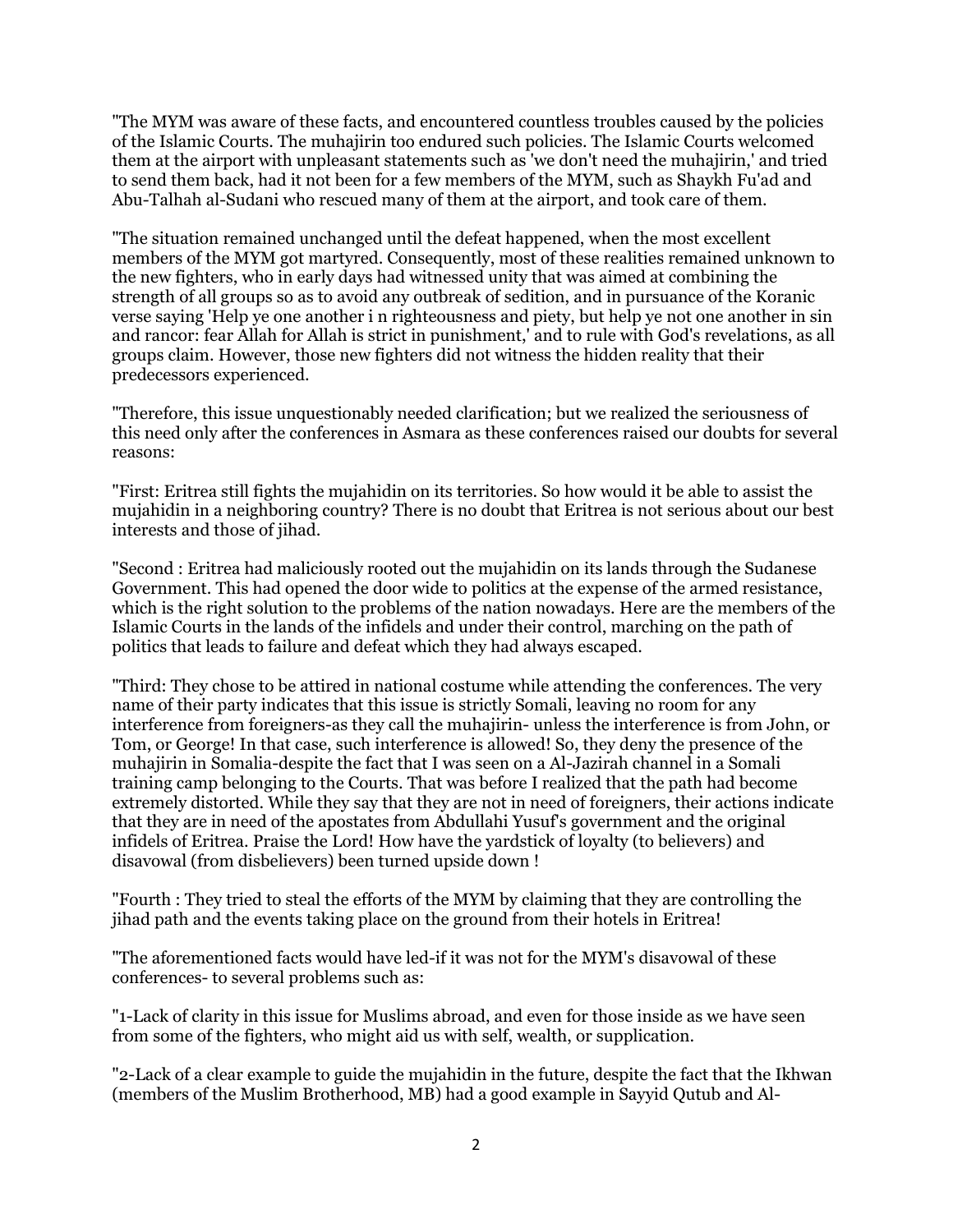"The MYM was aware of these facts, and encountered countless troubles caused by the policies of the Islamic Courts. The muhajirin too endured such policies. The Islamic Courts welcomed them at the airport with unpleasant statements such as 'we don't need the muhajirin,' and tried to send them back, had it not been for a few members of the MYM, such as Shaykh Fu'ad and Abu-Talhah al-Sudani who rescued many of them at the airport, and took care of them.

"The situation remained unchanged until the defeat happened, when the most excellent members of the MYM got martyred. Consequently, most of these realities remained unknown to the new fighters, who in early days had witnessed unity that was aimed at combining the strength of all groups so as to avoid any outbreak of sedition, and in pursuance of the Koranic verse saying 'Help ye one another i n righteousness and piety, but help ye not one another in sin and rancor: fear Allah for Allah is strict in punishment,' and to rule with God's revelations, as all groups claim. However, those new fighters did not witness the hidden reality that their predecessors experienced.

"Therefore, this issue unquestionably needed clarification; but we realized the seriousness of this need only after the conferences in Asmara as these conferences raised our doubts for several reasons:

"First: Eritrea still fights the mujahidin on its territories. So how would it be able to assist the mujahidin in a neighboring country? There is no doubt that Eritrea is not serious about our best interests and those of jihad.

"Second : Eritrea had maliciously rooted out the mujahidin on its lands through the Sudanese Government. This had opened the door wide to politics at the expense of the armed resistance, which is the right solution to the problems of the nation nowadays. Here are the members of the Islamic Courts in the lands of the infidels and under their control, marching on the path of politics that leads to failure and defeat which they had always escaped.

"Third: They chose to be attired in national costume while attending the conferences. The very name of their party indicates that this issue is strictly Somali, leaving no room for any interference from foreigners-as they call the muhajirin- unless the interference is from John, or Tom, or George! In that case, such interference is allowed! So, they deny the presence of the muhajirin in Somalia-despite the fact that I was seen on a Al-Jazirah channel in a Somali training camp belonging to the Courts. That was before I realized that the path had become extremely distorted. While they say that they are not in need of foreigners, their actions indicate that they are in need of the apostates from Abdullahi Yusuf's government and the original infidels of Eritrea. Praise the Lord! How have the yardstick of loyalty (to believers) and disavowal (from disbelievers) been turned upside down !

"Fourth : They tried to steal the efforts of the MYM by claiming that they are controlling the jihad path and the events taking place on the ground from their hotels in Eritrea!

"The aforementioned facts would have led-if it was not for the MYM's disavowal of these conferences- to several problems such as:

"1-Lack of clarity in this issue for Muslims abroad, and even for those inside as we have seen from some of the fighters, who might aid us with self, wealth, or supplication.

"2-Lack of a clear example to guide the mujahidin in the future, despite the fact that the Ikhwan (members of the Muslim Brotherhood, MB) had a good example in Sayyid Qutub and Al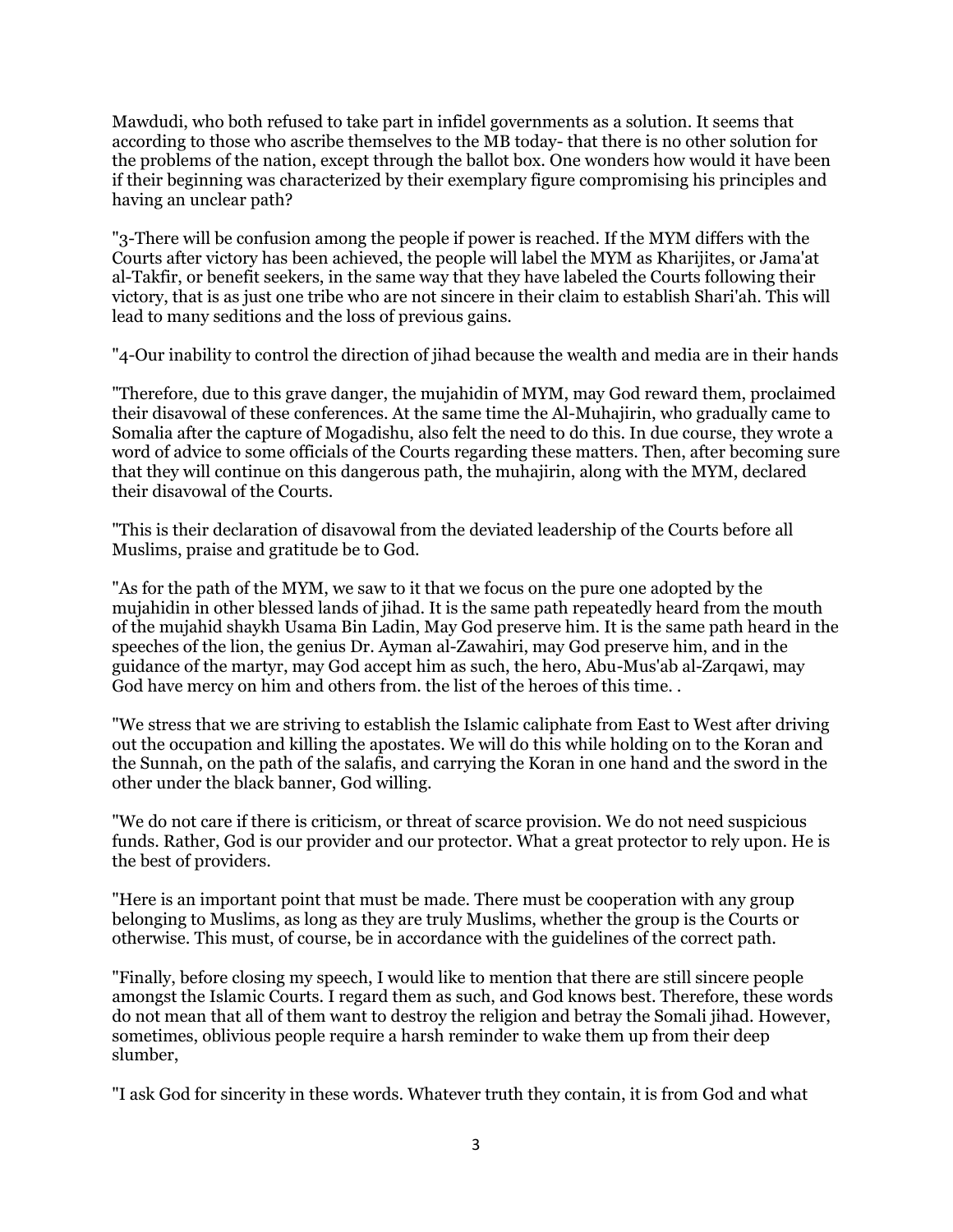Mawdudi, who both refused to take part in infidel governments as a solution. It seems that according to those who ascribe themselves to the MB today- that there is no other solution for the problems of the nation, except through the ballot box. One wonders how would it have been if their beginning was characterized by their exemplary figure compromising his principles and having an unclear path?

"3-There will be confusion among the people if power is reached. If the MYM differs with the Courts after victory has been achieved, the people will label the MYM as Kharijites, or Jama'at al-Takfir, or benefit seekers, in the same way that they have labeled the Courts following their victory, that is as just one tribe who are not sincere in their claim to establish Shari'ah. This will lead to many seditions and the loss of previous gains.

"4-Our inability to control the direction of jihad because the wealth and media are in their hands

"Therefore, due to this grave danger, the mujahidin of MYM, may God reward them, proclaimed their disavowal of these conferences. At the same time the Al-Muhajirin, who gradually came to Somalia after the capture of Mogadishu, also felt the need to do this. In due course, they wrote a word of advice to some officials of the Courts regarding these matters. Then, after becoming sure that they will continue on this dangerous path, the muhajirin, along with the MYM, declared their disavowal of the Courts.

"This is their declaration of disavowal from the deviated leadership of the Courts before all Muslims, praise and gratitude be to God.

"As for the path of the MYM, we saw to it that we focus on the pure one adopted by the mujahidin in other blessed lands of jihad. It is the same path repeatedly heard from the mouth of the mujahid shaykh Usama Bin Ladin, May God preserve him. It is the same path heard in the speeches of the lion, the genius Dr. Ayman al-Zawahiri, may God preserve him, and in the guidance of the martyr, may God accept him as such, the hero, Abu-Mus'ab al-Zarqawi, may God have mercy on him and others from, the list of the heroes of this time...

"We stress that we are striving to establish the Islamic caliphate from East to West after driving out the occupation and killing the apostates. We will do this while holding on to the Koran and the Sunnah, on the path of the salafis, and carrying the Koran in one hand and the sword in the other under the black banner, God willing.

"We do not care if there is criticism, or threat of scarce provision. We do not need suspicious funds. Rather, God is our provider and our protector. What a great protector to rely upon. He is the best of providers.

"Here is an important point that must be made. There must be cooperation with any group belonging to Muslims, as long as they are truly Muslims, whether the group is the Courts or otherwise. This must, of course, be in accordance with the guidelines of the correct path.

"Finally, before closing my speech, I would like to mention that there are still sincere people amongst the Islamic Courts. I regard them as such, and God knows best. Therefore, these words do not mean that all of them want to destroy the religion and betray the Somali jihad. However, sometimes, oblivious people require a harsh reminder to wake them up from their deep slumber,

"I ask God for sincerity in these words. Whatever truth they contain, it is from God and what